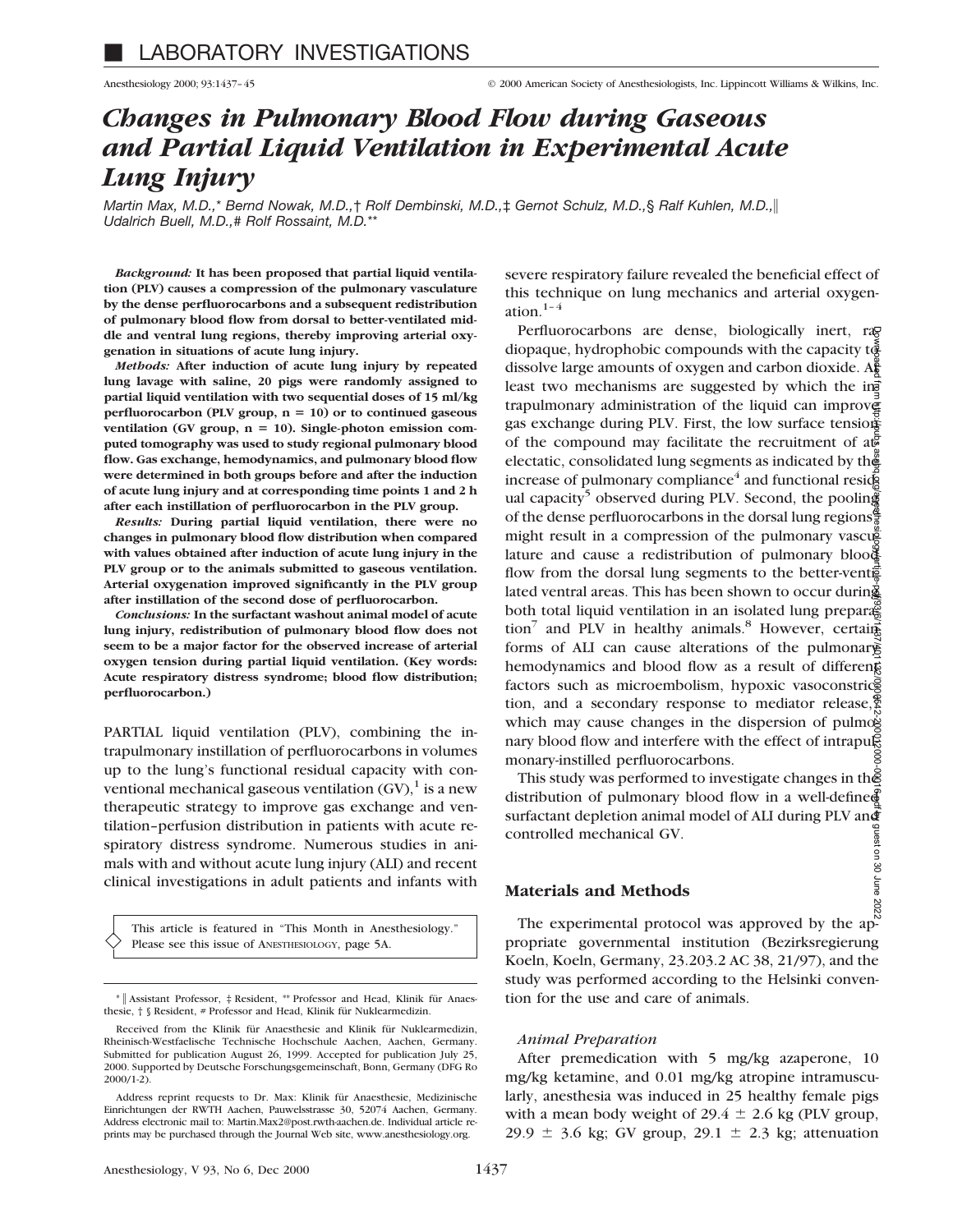severe respiratory failure revealed the beneficial effect of this technique on lung mechanics and arterial oxygen-

Perfluorocarbons are dense, biologically inert, rag diopaque, hydrophobic compounds with the capacity  $t\ddot{\hat{\mathbf{\alpha}}}$ dissolve large amounts of oxygen and carbon dioxide.  $A\ddot{\xi}$ least two mechanisms are suggested by which the in $\vec{v}$ trapulmonary administration of the liquid can improver gas exchange during PLV. First, the low surface tension of the compound may facilitate the recruitment of  $a\ddot{a}$ electatic, consolidated lung segments as indicated by the increase of pulmonary compliance<sup>4</sup> and functional resid-

# *Changes in Pulmonary Blood Flow during Gaseous and Partial Liquid Ventilation in Experimental Acute Lung Injury*

*Martin Max, M.D.,*\* *Bernd Nowak, M.D.,*† *Rolf Dembinski, M.D.,*‡ *Gernot Schulz, M.D.,*§ *Ralf Kuhlen, M.D.,*i *Udalrich Buell, M.D.,# Rolf Rossaint, M.D.*\*\*

ation. $1-4$ 

*Background:* **It has been proposed that partial liquid ventilation (PLV) causes a compression of the pulmonary vasculature by the dense perfluorocarbons and a subsequent redistribution of pulmonary blood flow from dorsal to better-ventilated middle and ventral lung regions, thereby improving arterial oxygenation in situations of acute lung injury.**

*Methods:* **After induction of acute lung injury by repeated lung lavage with saline, 20 pigs were randomly assigned to partial liquid ventilation with two sequential doses of 15 ml/kg perfluorocarbon (PLV group,**  $n = 10$ **) or to continued gaseous** ventilation (GV group, n = 10). Single-photon emission com**puted tomography was used to study regional pulmonary blood flow. Gas exchange, hemodynamics, and pulmonary blood flow were determined in both groups before and after the induction of acute lung injury and at corresponding time points 1 and 2 h after each instillation of perfluorocarbon in the PLV group.**

*Results:* **During partial liquid ventilation, there were no changes in pulmonary blood flow distribution when compared with values obtained after induction of acute lung injury in the PLV group or to the animals submitted to gaseous ventilation. Arterial oxygenation improved significantly in the PLV group after instillation of the second dose of perfluorocarbon.**

*Conclusions:* **In the surfactant washout animal model of acute lung injury, redistribution of pulmonary blood flow does not seem to be a major factor for the observed increase of arterial oxygen tension during partial liquid ventilation. (Key words: Acute respiratory distress syndrome; blood flow distribution; perfluorocarbon.)**

PARTIAL liquid ventilation (PLV), combining the intrapulmonary instillation of perfluorocarbons in volumes up to the lung's functional residual capacity with conventional mechanical gaseous ventilation  $(GV)$ , is a new therapeutic strategy to improve gas exchange and ventilation–perfusion distribution in patients with acute respiratory distress syndrome. Numerous studies in animals with and without acute lung injury (ALI) and recent clinical investigations in adult patients and infants with

This article is featured in "This Month in Anesthesiology." Please see this issue of ANESTHESIOLOGY, page 5A.

ual capacity<sup>5</sup> observed during PLV. Second, the pooling of the dense perfluorocarbons in the dorsal lung regions $\frac{6}{3}$ 

might result in a compression of the pulmonary vascus lature and cause a redistribution of pulmonary blood flow from the dorsal lung segments to the better-vent $\vec{F}$ lated ventral areas. This has been shown to occur during both total liquid ventilation in an isolated lung prepara $\ddot{\mathcal{E}}$ tion<sup>7</sup> and PLV in healthy animals.<sup>8</sup> However, certains forms of ALI can cause alterations of the pulmonary hemodynamics and blood flow as a result of different factors such as microembolism, hypoxic vasoconstrices tion, and a secondary response to mediator release, $\frac{8}{5}$ which may cause changes in the dispersion of pulmogeneous nary blood flow and interfere with the effect of intrapularly monary-instilled perfluorocarbons. Downloaded from http://pubs.asahq.org/anesthesiology/article-pdf/93/6/1437/401132/0000542-200012000-00016.pdf by guest on 30 June 2022

This study was performed to investigate changes in the distribution of pulmonary blood flow in a well-defined surfactant depletion animal model of ALI during PLV and controlled mechanical GV. Introlled mechanical GV.<br>
Experimental order of the experimental protocol was approved by the ap-<br>
The experimental protocol was approved by the ap-

## **Materials and Methods**

propriate governmental institution (Bezirksregierung Koeln, Koeln, Germany, 23.203.2 AC 38, 21/97), and the study was performed according to the Helsinki convention for the use and care of animals.

# *Animal Preparation*

After premedication with 5 mg/kg azaperone, 10 mg/kg ketamine, and 0.01 mg/kg atropine intramuscularly, anesthesia was induced in 25 healthy female pigs with a mean body weight of 29.4  $\pm$  2.6 kg (PLV group, 29.9  $\pm$  3.6 kg; GV group, 29.1  $\pm$  2.3 kg; attenuation

<sup>\* ||</sup> Assistant Professor, # Resident, \*\* Professor and Head, Klinik für Anaesthesie, † § Resident, # Professor and Head, Klinik für Nuklearmedizin.

Received from the Klinik für Anaesthesie and Klinik für Nuklearmedizin, Rheinisch-Westfaelische Technische Hochschule Aachen, Aachen, Germany. Submitted for publication August 26, 1999. Accepted for publication July 25, 2000. Supported by Deutsche Forschungsgemeinschaft, Bonn, Germany (DFG Ro 2000/1-2).

Address reprint requests to Dr. Max: Klinik für Anaesthesie, Medizinische Einrichtungen der RWTH Aachen, Pauwelsstrasse 30, 52074 Aachen, Germany. Address electronic mail to: Martin.Max2@post.rwth-aachen.de. Individual article reprints may be purchased through the Journal Web site, www.anesthesiology.org.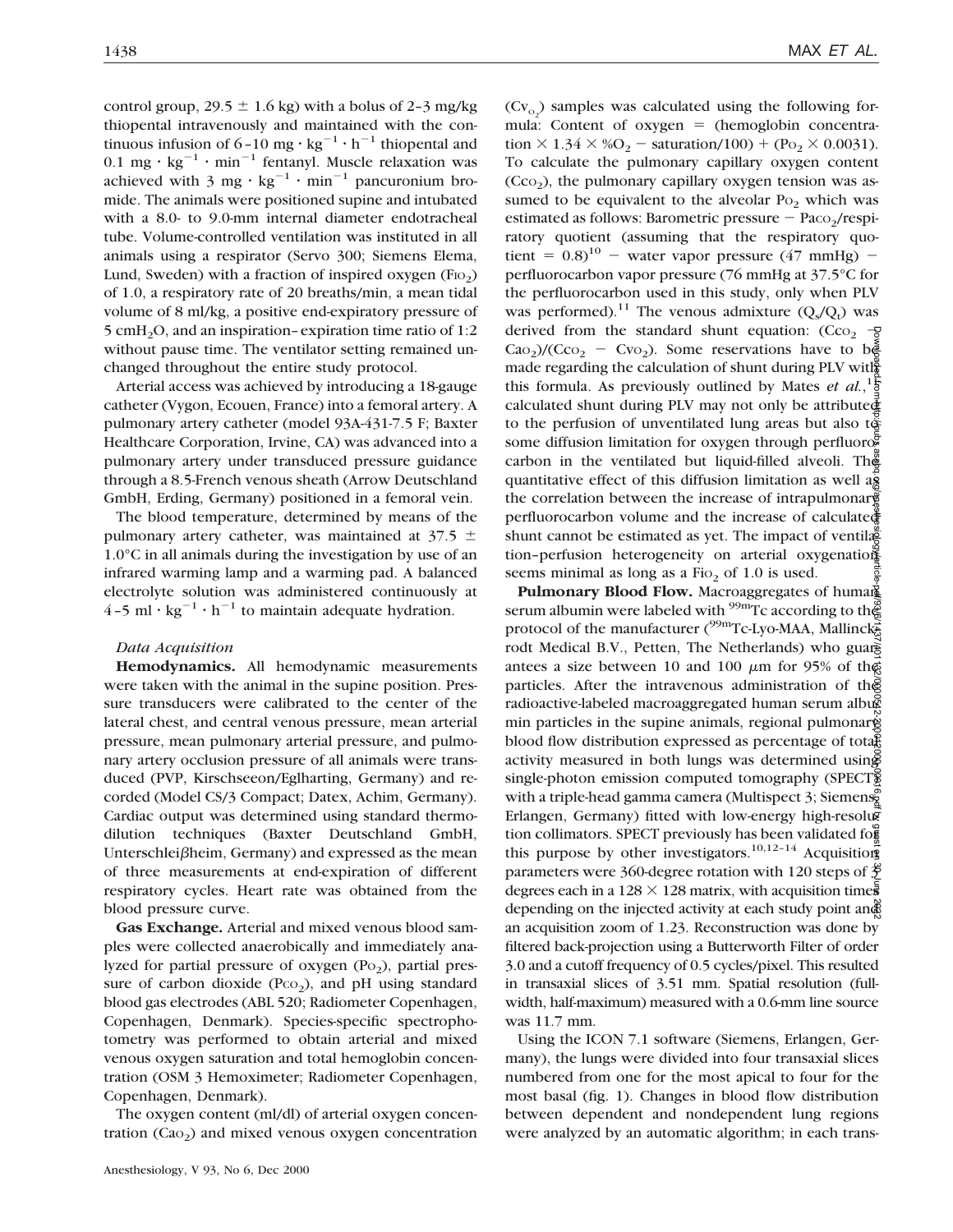control group,  $29.5 \pm 1.6$  kg) with a bolus of 2-3 mg/kg thiopental intravenously and maintained with the continuous infusion of  $6-10$  mg  $\cdot$  kg<sup>-1</sup>  $\cdot$  h<sup>-1</sup> thiopental and 0.1 mg ·  $kg^{-1}$  · min<sup>-1</sup> fentanyl. Muscle relaxation was achieved with 3 mg  $\cdot$  kg<sup>-1</sup>  $\cdot$  min<sup>-1</sup> pancuronium bromide. The animals were positioned supine and intubated with a 8.0- to 9.0-mm internal diameter endotracheal tube. Volume-controlled ventilation was instituted in all animals using a respirator (Servo 300; Siemens Elema, Lund, Sweden) with a fraction of inspired oxygen  $(FIO<sub>2</sub>)$ of 1.0, a respiratory rate of 20 breaths/min, a mean tidal volume of 8 ml/kg, a positive end-expiratory pressure of 5 cmH2O, and an inspiration–expiration time ratio of 1:2 without pause time. The ventilator setting remained unchanged throughout the entire study protocol.

Arterial access was achieved by introducing a 18-gauge catheter (Vygon, Ecouen, France) into a femoral artery. A pulmonary artery catheter (model 93A-431-7.5 F; Baxter Healthcare Corporation, Irvine, CA) was advanced into a pulmonary artery under transduced pressure guidance through a 8.5-French venous sheath (Arrow Deutschland GmbH, Erding, Germany) positioned in a femoral vein.

The blood temperature, determined by means of the pulmonary artery catheter, was maintained at  $37.5 \pm$ 1.0°C in all animals during the investigation by use of an infrared warming lamp and a warming pad. A balanced electrolyte solution was administered continuously at  $4-5$  ml  $\cdot$  kg<sup>-1</sup>  $\cdot$  h<sup>-1</sup> to maintain adequate hydration.

# *Data Acquisition*

**Hemodynamics.** All hemodynamic measurements were taken with the animal in the supine position. Pressure transducers were calibrated to the center of the lateral chest, and central venous pressure, mean arterial pressure, mean pulmonary arterial pressure, and pulmonary artery occlusion pressure of all animals were transduced (PVP, Kirschseeon/Eglharting, Germany) and recorded (Model CS/3 Compact; Datex, Achim, Germany). Cardiac output was determined using standard thermodilution techniques (Baxter Deutschland GmbH, Unterschlei $\beta$ heim, Germany) and expressed as the mean of three measurements at end-expiration of different respiratory cycles. Heart rate was obtained from the blood pressure curve.

**Gas Exchange.** Arterial and mixed venous blood samples were collected anaerobically and immediately analyzed for partial pressure of oxygen  $(P<sub>0</sub>)$ , partial pressure of carbon dioxide ( $PCO<sub>2</sub>$ ), and pH using standard blood gas electrodes (ABL 520; Radiometer Copenhagen, Copenhagen, Denmark). Species-specific spectrophotometry was performed to obtain arterial and mixed venous oxygen saturation and total hemoglobin concentration (OSM 3 Hemoximeter; Radiometer Copenhagen, Copenhagen, Denmark).

The oxygen content (ml/dl) of arterial oxygen concentration  $(Cao<sub>2</sub>)$  and mixed venous oxygen concentration

 $(Cv_{o_2})$  samples was calculated using the following formula: Content of oxygen  $=$  (hemoglobin concentration  $\times$  1.34  $\times$  %O<sub>2</sub> - saturation/100) + (Po<sub>2</sub>  $\times$  0.0031). To calculate the pulmonary capillary oxygen content  $(Cco<sub>2</sub>)$ , the pulmonary capillary oxygen tension was assumed to be equivalent to the alveolar  $Po<sub>2</sub>$  which was estimated as follows: Barometric pressure  $-$  Paco<sub>2</sub>/respiratory quotient (assuming that the respiratory quotient =  $0.8$ <sup>10</sup> - water vapor pressure (47 mmHg) perfluorocarbon vapor pressure (76 mmHg at 37.5°C for the perfluorocarbon used in this study, only when PLV was performed).<sup>11</sup> The venous admixture  $(Q_s/Q_t)$  was derived from the standard shunt equation:  $(Cco<sub>2</sub> -\frac{1}{5})$  $CaO<sub>2</sub>$ /(Cco<sub>2</sub> – Cvo<sub>2</sub>). Some reservations have to be made regarding the calculation of shunt during PLV with this formula. As previously outlined by Mates *et al.*,<sup>1</sup> $\frac{1}{9}$ calculated shunt during PLV may not only be attributed to the perfusion of unventilated lung areas but also to some diffusion limitation for oxygen through perfluoro $\overline{\mathbb{F}}$ carbon in the ventilated but liquid-filled alveoli. The quantitative effect of this diffusion limitation as well  $a\overline{s}$ the correlation between the increase of intrapulmonary perfluorocarbon volume and the increase of calculated shunt cannot be estimated as yet. The impact of ventilagetion–perfusion heterogeneity on arterial oxygenation seems minimal as long as a  $Fio<sub>2</sub>$  of 1.0 is used.

Pulmonary Blood Flow. Macroaggregates of human<sup>2</sup> serum albumin were labeled with  $\frac{99 \text{m}}{2}$  caccording to the protocol of the manufacturer ( $^{99m}$ Tc-Lyo-MAA, Mallinckrodt Medical B.V., Petten, The Netherlands) who guarantees a size between 10 and 100  $\mu$ m for 95% of the particles. After the intravenous administration of the radioactive-labeled macroaggregated human serum albug min particles in the supine animals, regional pulmonary blood flow distribution expressed as percentage of total activity measured in both lungs was determined using single-photon emission computed tomography (SPECT) with a triple-head gamma camera (Multispect 3; Siemens, Erlangen, Germany) fitted with low-energy high-resolugi tion collimators. SPECT previously has been validated for this purpose by other investigators.<sup>10,12-14</sup> Acquisitions parameters were 360-degree rotation with 120 steps of  $\frac{3}{2}$ degrees each in a  $128 \times 128$  matrix, with acquisition times depending on the injected activity at each study point and an acquisition zoom of 1.23. Reconstruction was done by filtered back-projection using a Butterworth Filter of order 3.0 and a cutoff frequency of 0.5 cycles/pixel. This resulted in transaxial slices of 3.51 mm. Spatial resolution (fullwidth, half-maximum) measured with a 0.6-mm line source was 11.7 mm. Downloaded from http://pubs.asahq.org/anesthesiology/article-pdf/93/6/1437/401132/0000542-200012000-00016.pdf by guest on 30 June 2022

Using the ICON 7.1 software (Siemens, Erlangen, Germany), the lungs were divided into four transaxial slices numbered from one for the most apical to four for the most basal (fig. 1). Changes in blood flow distribution between dependent and nondependent lung regions were analyzed by an automatic algorithm; in each trans-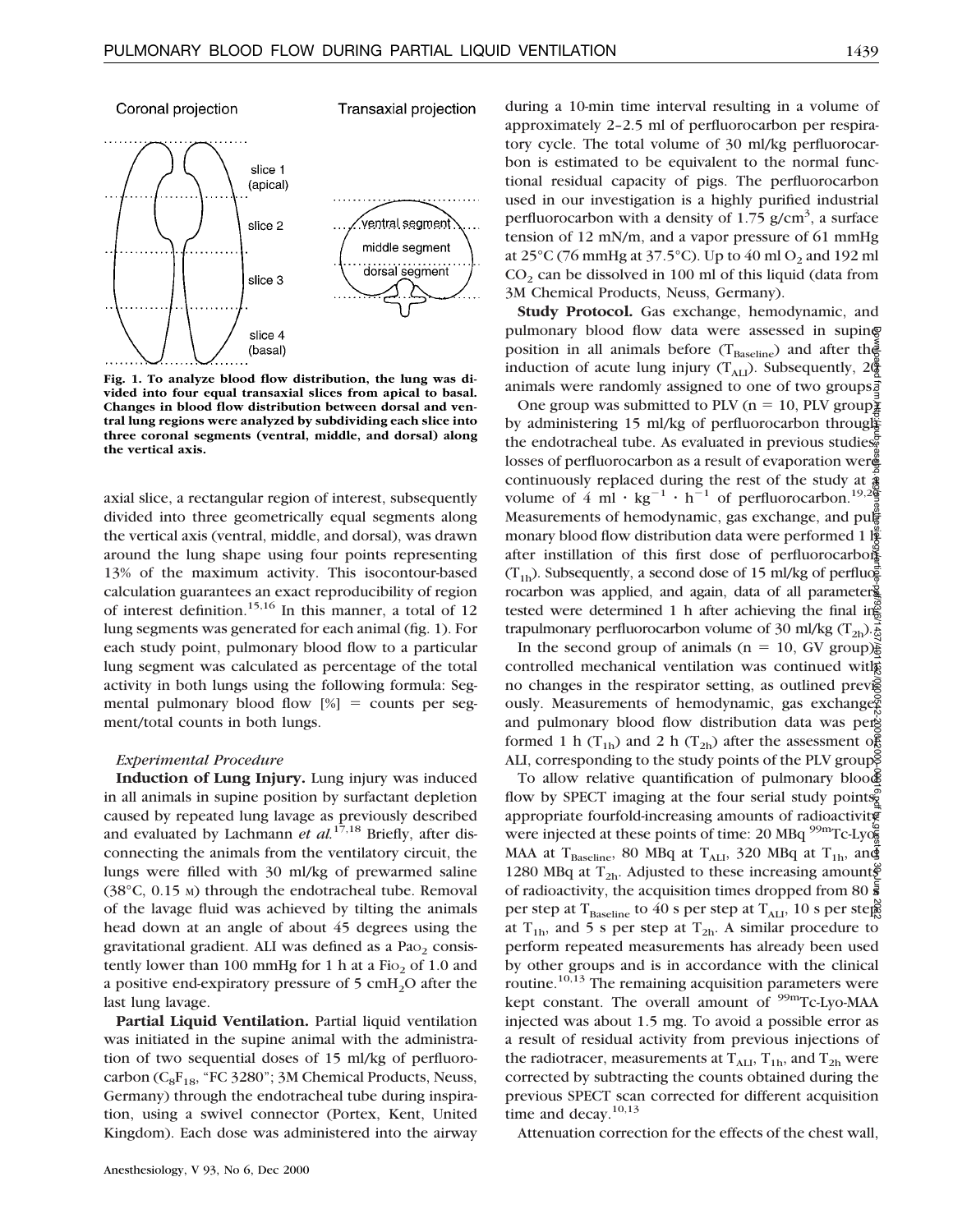# Coronal projection

Transaxial projection



**Fig. 1. To analyze blood flow distribution, the lung was divided into four equal transaxial slices from apical to basal. Changes in blood flow distribution between dorsal and ventral lung regions were analyzed by subdividing each slice into three coronal segments (ventral, middle, and dorsal) along the vertical axis.**

axial slice, a rectangular region of interest, subsequently divided into three geometrically equal segments along the vertical axis (ventral, middle, and dorsal), was drawn around the lung shape using four points representing 13% of the maximum activity. This isocontour-based calculation guarantees an exact reproducibility of region of interest definition.15,16 In this manner, a total of 12 lung segments was generated for each animal (fig. 1). For each study point, pulmonary blood flow to a particular lung segment was calculated as percentage of the total activity in both lungs using the following formula: Segmental pulmonary blood flow  $[\%]$  = counts per segment/total counts in both lungs.

#### *Experimental Procedure*

**Induction of Lung Injury.** Lung injury was induced in all animals in supine position by surfactant depletion caused by repeated lung lavage as previously described and evaluated by Lachmann *et al.*17,18 Briefly, after disconnecting the animals from the ventilatory circuit, the lungs were filled with 30 ml/kg of prewarmed saline (38°C, 0.15 M) through the endotracheal tube. Removal of the lavage fluid was achieved by tilting the animals head down at an angle of about 45 degrees using the gravitational gradient. ALI was defined as a  $PaO<sub>2</sub>$  consistently lower than 100 mmHg for 1 h at a  $Fio<sub>2</sub>$  of 1.0 and a positive end-expiratory pressure of  $5 \text{ cm}$ H<sub>2</sub>O after the last lung lavage.

**Partial Liquid Ventilation.** Partial liquid ventilation was initiated in the supine animal with the administration of two sequential doses of 15 ml/kg of perfluorocarbon ( $C_8F_{18}$ , "FC 3280"; 3M Chemical Products, Neuss, Germany) through the endotracheal tube during inspiration, using a swivel connector (Portex, Kent, United Kingdom). Each dose was administered into the airway

Anesthesiology, V 93, No 6, Dec 2000

during a 10-min time interval resulting in a volume of approximately 2–2.5 ml of perfluorocarbon per respiratory cycle. The total volume of 30 ml/kg perfluorocarbon is estimated to be equivalent to the normal functional residual capacity of pigs. The perfluorocarbon used in our investigation is a highly purified industrial perfluorocarbon with a density of  $1.75$  g/cm<sup>3</sup>, a surface tension of 12 mN/m, and a vapor pressure of 61 mmHg at  $25^{\circ}$ C (76 mmHg at 37.5°C). Up to 40 ml O<sub>2</sub> and 192 ml  $CO<sub>2</sub>$  can be dissolved in 100 ml of this liquid (data from 3M Chemical Products, Neuss, Germany).

**Study Protocol.** Gas exchange, hemodynamic, and pulmonary blood flow data were assessed in supine position in all animals before ( $T_{\text{Baseline}}$ ) and after the induction of acute lung injury  $(T_{\text{AL}})$ . Subsequently,  $2\frac{3}{2}$ animals were randomly assigned to one of two groups $\vec{z}$ 

One group was submitted to PLV (n = 10, PLV group) $\frac{1}{2}$ by administering 15 ml/kg of perfluorocarbon through the endotracheal tube. As evaluated in previous studies, losses of perfluorocarbon as a result of evaporation wer continuously replaced during the rest of the study at  $\frac{1}{3}$ volume of 4 ml  $\cdot$  kg<sup>-1</sup>  $\cdot$  h<sup>-1</sup> of perfluorocarbon.<sup>19,20</sup> Measurements of hemodynamic, gas exchange, and pu $\sharp$ monary blood flow distribution data were performed 1  $\frac{1}{2}$ after instillation of this first dose of perfluorocarbons  $(T_{1h})$ . Subsequently, a second dose of 15 ml/kg of perfluorocarbon was applied, and again, data of all parameters tested were determined 1 h after achieving the final ing trapulmonary perfluorocarbon volume of 30 ml/kg (T<sub>2h</sub>). $\frac{2}{6}$ Downloaded from http://pubs.asahq.org/anesthesiology/article-pdf/93/6/1437/401132/0000542-200012000-00016.pdf by guest on 30 June 2022

In the second group of animals ( $n = 10$ , GV group) $\frac{2}{9}$ controlled mechanical ventilation was continued with no changes in the respirator setting, as outlined prevised ously. Measurements of hemodynamic, gas exchanges and pulmonary blood flow distribution data was per formed 1 h (T<sub>1b</sub>) and 2 h (T<sub>2b</sub>) after the assessment of ALI, corresponding to the study points of the PLV group.

To allow relative quantification of pulmonary blood flow by SPECT imaging at the four serial study points. appropriate fourfold-increasing amounts of radioactivity were injected at these points of time: 20 MBq  $\rm{^{99m}Tc\text{-}Lyo\bar{s}}$ MAA at T<sub>Baseline</sub>, 80 MBq at T<sub>ALI</sub>, 320 MBq at T<sub>1h</sub>, and 1280 MBq at  $T_{2h}$ . Adjusted to these increasing amounts of radioactivity, the acquisition times dropped from 80  $\bar{\bar{s}}$ per step at T<sub>Baseline</sub> to 40 s per step at T<sub>ALI</sub>, 10 s per steps at  $T_{1h}$ , and 5 s per step at  $T_{2h}$ . A similar procedure to perform repeated measurements has already been used by other groups and is in accordance with the clinical routine.<sup>10,13</sup> The remaining acquisition parameters were kept constant. The overall amount of <sup>99m</sup>Tc-Lyo-MAA injected was about 1.5 mg. To avoid a possible error as a result of residual activity from previous injections of the radiotracer, measurements at  $T_{\text{ALI}}$ ,  $T_{1h}$ , and  $T_{2h}$  were corrected by subtracting the counts obtained during the previous SPECT scan corrected for different acquisition time and decay.<sup>10,13</sup>

Attenuation correction for the effects of the chest wall,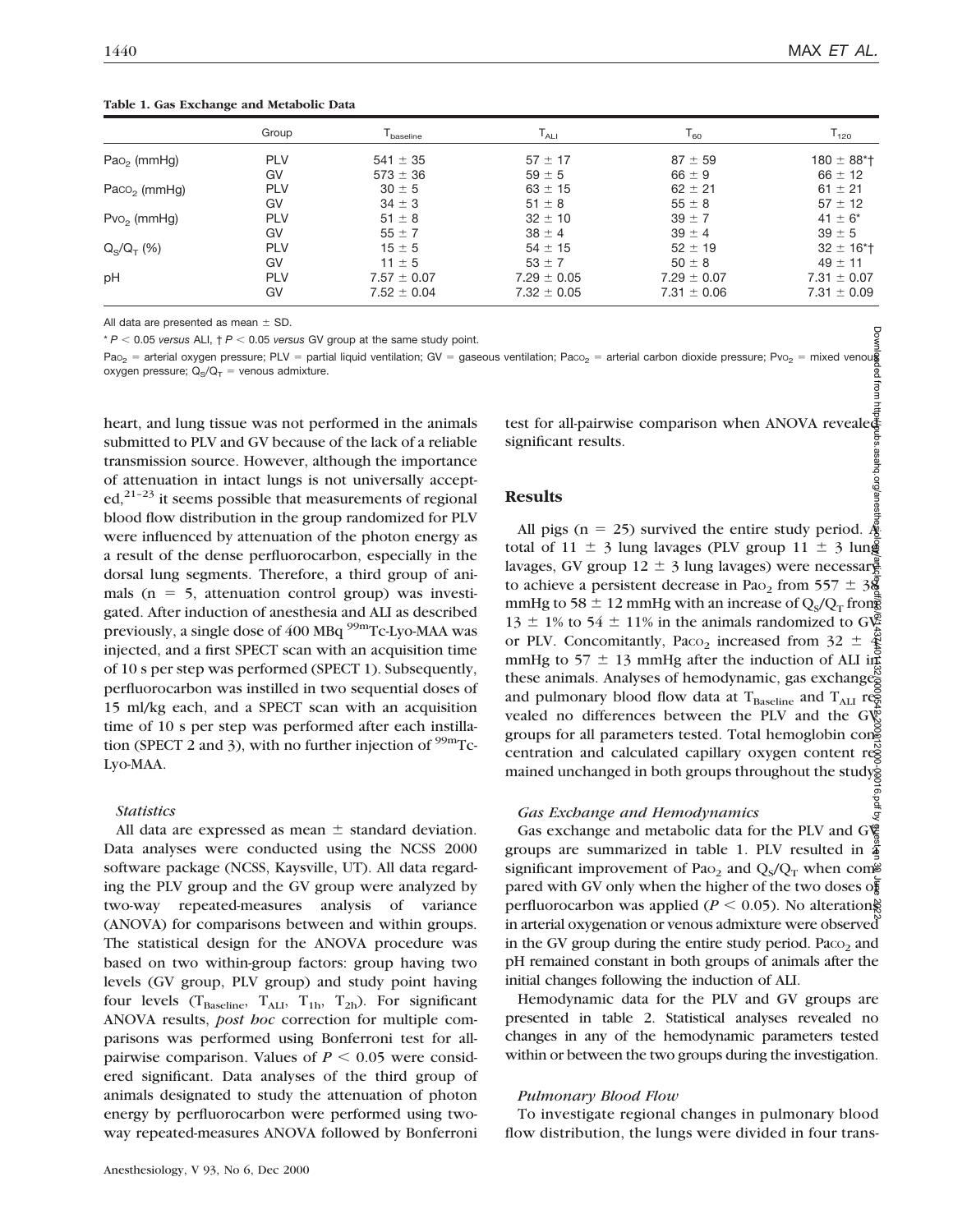# **Table 1. Gas Exchange and Metabolic Data**

|                          | Group      | $\mathsf{T}_{\mathsf{baseline}}$ | $\mathsf{T}_{\mathsf{ALI}}$ | $T_{60}$        | $T_{120}$                   |
|--------------------------|------------|----------------------------------|-----------------------------|-----------------|-----------------------------|
| $PaO2$ (mmHg)            | <b>PLV</b> | $541 \pm 35$                     | $57 \pm 17$                 | $87 + 59$       | $180 \pm 88$ <sup>*</sup> T |
|                          | GV         | $573 \pm 36$                     | $59 \pm 5$                  | $66 \pm 9$      | $66 \pm 12$                 |
| Paco <sub>2</sub> (mmHg) | <b>PLV</b> | $30 \pm 5$                       | $63 \pm 15$                 | $62 \pm 21$     | $61 \pm 21$                 |
|                          | GV         | $34 \pm 3$                       | $51 \pm 8$                  | $55 \pm 8$      | $57 \pm 12$                 |
| $Pvo2$ (mmHg)            | <b>PLV</b> | $51 \pm 8$                       | $32 \pm 10$                 | $39 \pm 7$      | $41 \pm 6^*$                |
|                          | GV         | $55 \pm 7$                       | $38 \pm 4$                  | $39 \pm 4$      | $39 \pm 5$                  |
| $Q_S/Q_T$ (%)            | <b>PLV</b> | $15 \pm 5$                       | $54 \pm 15$                 | $52 \pm 19$     | $32 \pm 16$ <sup>*</sup> T  |
|                          | GV         | $11 \pm 5$                       | $53 \pm 7$                  | $50 \pm 8$      | $49 \pm 11$                 |
| pH                       | <b>PLV</b> | $7.57 \pm 0.07$                  | $7.29 \pm 0.05$             | $7.29 \pm 0.07$ | $7.31 \pm 0.07$             |
|                          | GV         | $7.52 \pm 0.04$                  | $7.32 \pm 0.05$             | $7.31 \pm 0.06$ | $7.31 \pm 0.09$             |

All data are presented as mean  $\pm$  SD.

 $* P < 0.05$  *versus* ALI,  $\uparrow P < 0.05$  *versus* GV group at the same study point.

Pao $_2$  = arterial oxygen pressure; PLV = partial liquid ventilation; GV = gaseous ventilation; Paco $_2$  = arterial carbon dioxide pressure; Pvo $_2$  = mixed venou $\,$ oxygen pressure;  $Q_S/Q_T =$  venous admixture.

heart, and lung tissue was not performed in the animals submitted to PLV and GV because of the lack of a reliable transmission source. However, although the importance of attenuation in intact lungs is not universally accept $ed,$ <sup>21-23</sup> it seems possible that measurements of regional blood flow distribution in the group randomized for PLV were influenced by attenuation of the photon energy as a result of the dense perfluorocarbon, especially in the dorsal lung segments. Therefore, a third group of animals ( $n = 5$ , attenuation control group) was investigated. After induction of anesthesia and ALI as described previously, a single dose of 400 MBq <sup>99m</sup>Tc-Lyo-MAA was injected, and a first SPECT scan with an acquisition time of 10 s per step was performed (SPECT 1). Subsequently, perfluorocarbon was instilled in two sequential doses of 15 ml/kg each, and a SPECT scan with an acquisition time of 10 s per step was performed after each instillation (SPECT 2 and 3), with no further injection of  $\rm{^{99m}Tc}$ -Lyo-MAA.

# *Statistics*

All data are expressed as mean  $\pm$  standard deviation. Data analyses were conducted using the NCSS 2000 software package (NCSS, Kaysville, UT). All data regarding the PLV group and the GV group were analyzed by two-way repeated-measures analysis of variance (ANOVA) for comparisons between and within groups. The statistical design for the ANOVA procedure was based on two within-group factors: group having two levels (GV group, PLV group) and study point having four levels ( $T_{\text{Baseline}}$ ,  $T_{\text{ALI}}$ ,  $T_{1h}$ ,  $T_{2h}$ ). For significant ANOVA results, *post hoc* correction for multiple comparisons was performed using Bonferroni test for allpairwise comparison. Values of  $P \leq 0.05$  were considered significant. Data analyses of the third group of animals designated to study the attenuation of photon energy by perfluorocarbon were performed using twoway repeated-measures ANOVA followed by Bonferroni

test for all-pairwise comparison when ANOVA revealed significant results.

# **Results**

Downloaded from http://pubs.asahq.org/anesthesiology/article-pdf/93/6/1437/401132/0000542-200012000-00016.pdf by guest on 30 June 2022All pigs (n = 25) survived the entire study period.  $\oint_{\mathcal{B}}$ total of 11  $\pm$  3 lung lavages (PLV group 11  $\pm$  3 lung lavages, GV group 12  $\pm$  3 lung lavages) were necessary to achieve a persistent decrease in Pao<sub>2</sub> from 557  $\pm$  38 mmHg to 58  $\pm$  12 mmHg with an increase of Q<sub>S</sub>/Q<sub>T</sub> from 13  $\pm$  1% to 54  $\pm$  11% in the animals randomized to GV or PLV. Concomitantly, Paco<sub>2</sub> increased from  $32 \pm$ mmHg to 57  $\pm$  13 mmHg after the induction of ALI in these animals. Analyses of hemodynamic, gas exchanges and pulmonary blood flow data at  $T_{\text{Baseline}}$  and  $T_{\text{ALI}}$  reg vealed no differences between the PLV and the  $G_V^{\text{w}}$ groups for all parameters tested. Total hemoglobin concentration and calculated capillary oxygen content reg mained unchanged in both groups throughout the study  $\vec{e}$ 

### *Gas Exchange and Hemodynamics*

Gas exchange and metabolic data for the PLV and  $G\$ groups are summarized in table 1. PLV resulted in  $\ddot{\tilde{a}}$ significant improvement of Pao<sub>2</sub> and  $Q_{\rm s}/Q_{\rm T}$  when com $\approx$ pared with GV only when the higher of the two doses of perfluorocarbon was applied ( $P \le 0.05$ ). No alterations in arterial oxygenation or venous admixture were observed in the GV group during the entire study period.  $P_{\text{aco}_2}$  and pH remained constant in both groups of animals after the initial changes following the induction of ALI.

Hemodynamic data for the PLV and GV groups are presented in table 2. Statistical analyses revealed no changes in any of the hemodynamic parameters tested within or between the two groups during the investigation.

# *Pulmonary Blood Flow*

To investigate regional changes in pulmonary blood flow distribution, the lungs were divided in four trans-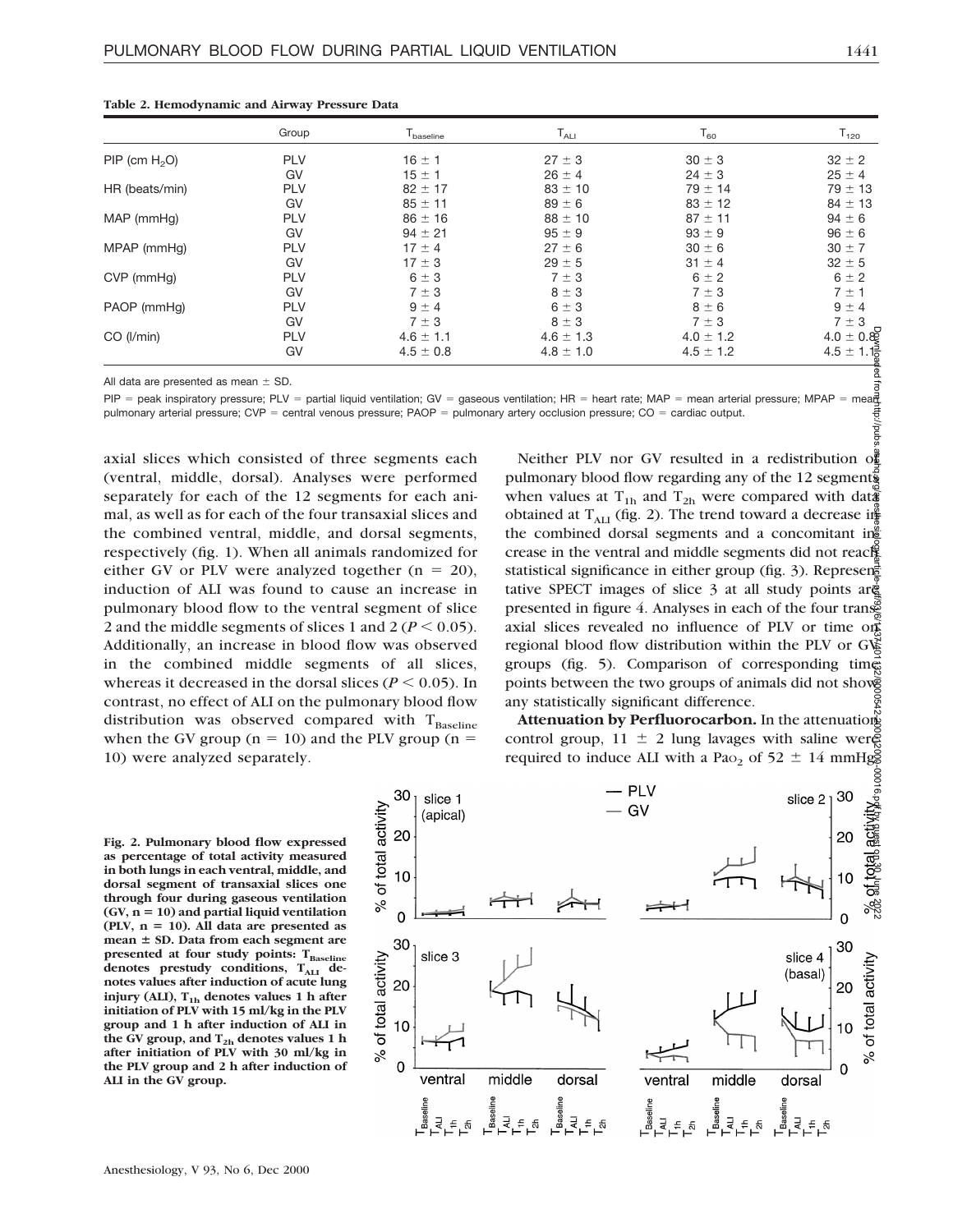|                    | Group      | $\mathsf{T}_{\mathsf{baseline}}$ | $\mathsf{T}_{\mathsf{ALI}}$ | $T_{60}$      | $T_{120}$     |
|--------------------|------------|----------------------------------|-----------------------------|---------------|---------------|
| $PIP$ (cm $H_2O$ ) | <b>PLV</b> | $16 \pm 1$                       | $27 \pm 3$                  | $30 \pm 3$    | $32 \pm 2$    |
|                    | GV         | $15 \pm 1$                       | $26 \pm 4$                  | $24 \pm 3$    | $25 \pm 4$    |
| HR (beats/min)     | <b>PLV</b> | $82 \pm 17$                      | $83 \pm 10$                 | $79 \pm 14$   | $79 \pm 13$   |
|                    | GV         | $85 \pm 11$                      | $89 \pm 6$                  | $83 \pm 12$   | $84 \pm 13$   |
| MAP (mmHg)         | <b>PLV</b> | $86 \pm 16$                      | $88 \pm 10$                 | $87 \pm 11$   | $94 \pm 6$    |
|                    | GV         | $94 \pm 21$                      | $95 \pm 9$                  | $93 \pm 9$    | $96 \pm 6$    |
| MPAP (mmHq)        | <b>PLV</b> | $17 \pm 4$                       | $27 \pm 6$                  | $30 \pm 6$    | $30 \pm 7$    |
|                    | GV         | $17 \pm 3$                       | $29 \pm 5$                  | $31 \pm 4$    | $32 \pm 5$    |
| CVP (mmHq)         | <b>PLV</b> | $6 \pm 3$                        | $7 \pm 3$                   | $6 \pm 2$     | $6 \pm 2$     |
|                    | GV         | $7 \pm 3$                        | $8 \pm 3$                   | $7 \pm 3$     | $7 \pm 1$     |
| PAOP (mmHq)        | <b>PLV</b> | $9 \pm 4$                        | $6 \pm 3$                   | $8 \pm 6$     | $9 \pm 4$     |
|                    | GV         | $7 \pm 3$                        | $8 \pm 3$                   | $7 \pm 3$     | $7 \pm 3$     |
| CO (I/min)         | <b>PLV</b> | $4.6 \pm 1.1$                    | $4.6 \pm 1.3$               | $4.0 \pm 1.2$ | $4.0 \pm 0.8$ |
|                    | GV         | $4.5 \pm 0.8$                    | $4.8 \pm 1.0$               | $4.5 \pm 1.2$ | $4.5 \pm 1.1$ |

|  |  |  |  |  |  |  | Table 2. Hemodynamic and Airway Pressure Data |  |
|--|--|--|--|--|--|--|-----------------------------------------------|--|
|--|--|--|--|--|--|--|-----------------------------------------------|--|

All data are presented as mean  $\pm$  SD.

قة<br>PIP = peak inspiratory pressure; PLV = partial liquid ventilation; GV = gaseous ventilation; HR = heart rate; MAP = mean arterial pressure; MPAP = meat pulmonary arterial pressure;  $CVP =$  central venous pressure; PAOP = pulmonary artery occlusion pressure;  $CO =$  cardiac output. ਰ

axial slices which consisted of three segments each (ventral, middle, dorsal). Analyses were performed separately for each of the 12 segments for each animal, as well as for each of the four transaxial slices and the combined ventral, middle, and dorsal segments, respectively (fig. 1). When all animals randomized for either GV or PLV were analyzed together  $(n = 20)$ , induction of ALI was found to cause an increase in pulmonary blood flow to the ventral segment of slice 2 and the middle segments of slices 1 and 2 ( $P < 0.05$ ). Additionally, an increase in blood flow was observed in the combined middle segments of all slices, whereas it decreased in the dorsal slices ( $P < 0.05$ ). In contrast, no effect of ALI on the pulmonary blood flow distribution was observed compared with  $T_{\text{Baseline}}$ when the GV group ( $n = 10$ ) and the PLV group ( $n =$ 10) were analyzed separately.

Neither PLV nor GV resulted in a redistribution of pulmonary blood flow regarding any of the 12 segments when values at T<sub>1h</sub> and T<sub>2h</sub> were compared with dat obtained at  $T_{\text{AII}}$  (fig. 2). The trend toward a decrease in the combined dorsal segments and a concomitant in $\frac{2}{5}$ crease in the ventral and middle segments did not reach statistical significance in either group (fig. 3). Represented tative SPECT images of slice 3 at all study points are presented in figure 4. Analyses in each of the four transaxial slices revealed no influence of PLV or time on regional blood flow distribution within the PLV or  $G\&$ groups (fig. 5). Comparison of corresponding time points between the two groups of animals did not show any statistically significant difference. Downloaded from http://pubs.asahq.org/anesthesiology/article-pdf/93/6/1437/401132/0000542-200012000-00016.pdf by guest on 30 June 2022

**Attenuation by Perfluorocarbon.** In the attenuation control group,  $11 \pm 2$  lung lavages with saline were required to induce ALI with a Pa<sub>O2</sub> of 52  $\pm$  14 mmHg.

**Fig. 2. Pulmonary blood flow expressed as percentage of total activity measured in both lungs in each ventral, middle, and dorsal segment of transaxial slices one through four during gaseous ventilation**  $(GV, n = 10)$  and partial liquid ventilation  $(PLV, n = 10)$ . All data are presented as **mean**  $\pm$  SD. Data from each segment are presented at four study points: T<sub>Baseline</sub> denotes prestudy conditions, T<sub>ALI</sub> de**notes values after induction of acute lung injury (ALI), T1h denotes values 1 h after initiation of PLV with 15 ml/kg in the PLV group and 1 h after induction of ALI in the GV group, and T2h denotes values 1 h after initiation of PLV with 30 ml/kg in the PLV group and 2 h after induction of ALI in the GV group.**



Ba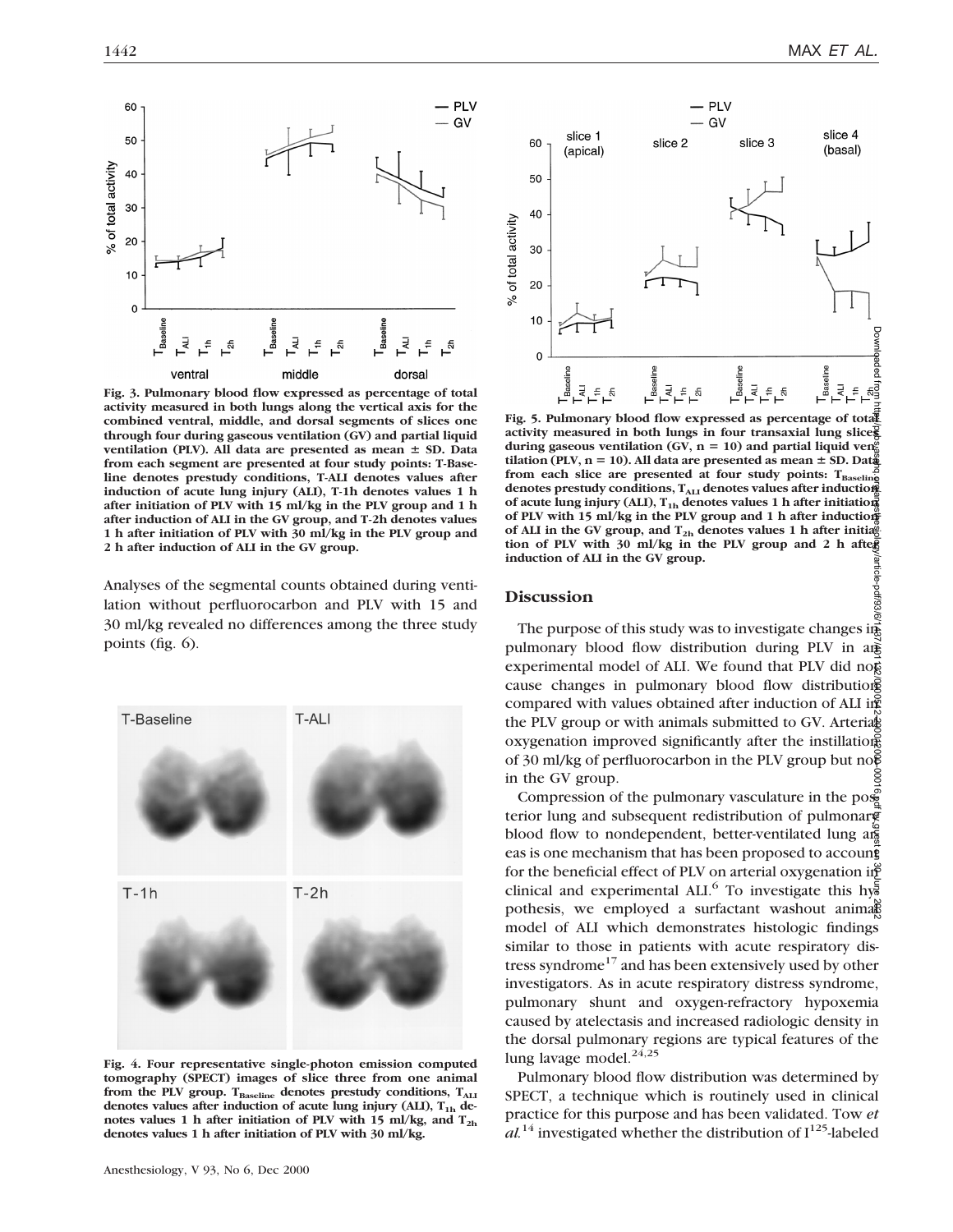

**Fig. 3. Pulmonary blood flow expressed as percentage of total activity measured in both lungs along the vertical axis for the combined ventral, middle, and dorsal segments of slices one through four during gaseous ventilation (GV) and partial liquid ventilation (PLV). All data are presented as mean**  $\pm$  **SD. Data from each segment are presented at four study points: T-Baseline denotes prestudy conditions, T-ALI denotes values after induction of acute lung injury (ALI), T-1h denotes values 1 h after initiation of PLV with 15 ml/kg in the PLV group and 1 h after induction of ALI in the GV group, and T-2h denotes values 1 h after initiation of PLV with 30 ml/kg in the PLV group and 2 h after induction of ALI in the GV group.**

Analyses of the segmental counts obtained during ventilation without perfluorocarbon and PLV with 15 and 30 ml/kg revealed no differences among the three study points (fig. 6).



**Fig. 4. Four representative single-photon emission computed tomography (SPECT) images of slice three from one animal** from the PLV group. T<sub>Baseline</sub> denotes prestudy conditions, T<sub>ALI</sub> denotes values after induction of acute lung injury (ALI), T<sub>1h</sub> de**notes values 1 h after initiation of PLV with 15 ml/kg, and T2h denotes values 1 h after initiation of PLV with 30 ml/kg.**



**Fig. 5. Pulmonary blood flow expressed as percentage of total activity measured in both lungs in four transaxial lung slices** during gaseous ventilation (GV,  $n = 10$ ) and partial liquid ven<sup>on</sup><sub>0</sub> **tilation (PLV, n** = 10). All data are presented as mean  $\pm$  SD. Data from each slice are presented at four study points: T<sub>Baseline</sub> denotes prestudy conditions, T<sub>ALI</sub> denotes values after induction of acute lung injury (ALI), T<sub>1h</sub> denotes values 1 h after initiation **of PLV with 15 ml/kg in the PLV group and 1 h after induction** of ALI in the GV group, and  $T_{2h}$  denotes values 1 h after initia<sup>n</sup> **tion of PLV with 30 ml/kg in the PLV group and 2 h after induction of ALI in the GV group.** /article-pdf/93/6/

# **Discussion**

The purpose of this study was to investigate changes in  $\vec{a}$ pulmonary blood flow distribution during PLV in an experimental model of ALI. We found that PLV did not cause changes in pulmonary blood flow distribution compared with values obtained after induction of ALI in the PLV group or with animals submitted to GV. Arterials oxygenation improved significantly after the instillation of 30 ml/kg of perfluorocarbon in the PLV group but no $\bar{\mathfrak{g}}$ in the GV group. Downloaded from http://pubs.asa.org/anesthesiology/article-pdf/93/6/0000422-402/0000420-00016.pdf by guest on 30 June 2022

Compression of the pulmonary vasculature in the pose terior lung and subsequent redistribution of pulmonary blood flow to nondependent, better-ventilated lung  $a\overline{\phi}$ eas is one mechanism that has been proposed to account for the beneficial effect of PLV on arterial oxygenation in clinical and experimental ALI.<sup>6</sup> To investigate this hypothesis, we employed a surfactant washout animals model of ALI which demonstrates histologic findings similar to those in patients with acute respiratory distress syndrome<sup>17</sup> and has been extensively used by other investigators. As in acute respiratory distress syndrome, pulmonary shunt and oxygen-refractory hypoxemia caused by atelectasis and increased radiologic density in the dorsal pulmonary regions are typical features of the lung lavage model. $24,25$ 

Pulmonary blood flow distribution was determined by SPECT, a technique which is routinely used in clinical practice for this purpose and has been validated. Tow *et*  $al^{14}$  investigated whether the distribution of  $I^{125}$ -labeled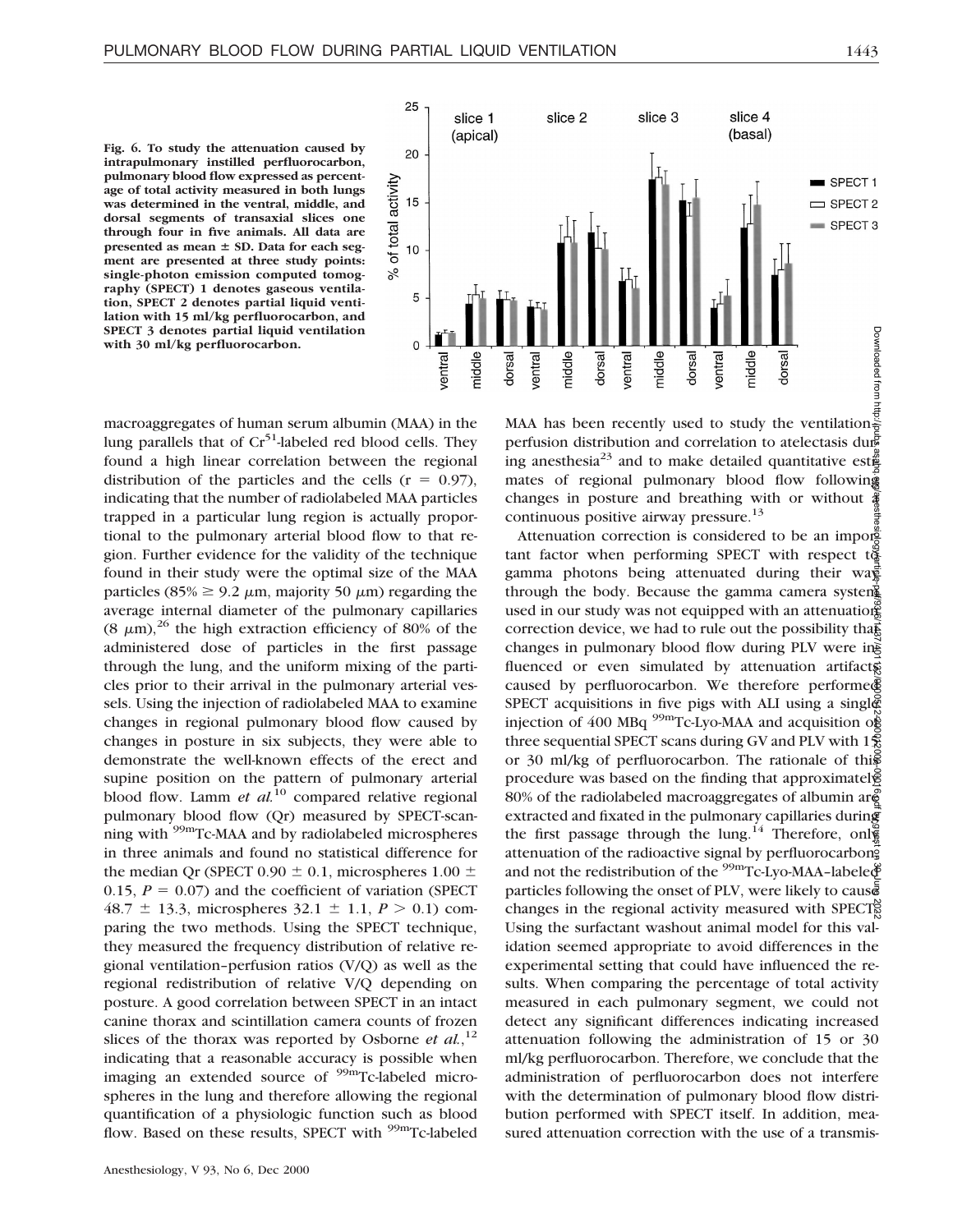**Fig. 6. To study the attenuation caused by intrapulmonary instilled perfluorocarbon, pulmonary blood flow expressed as percentage of total activity measured in both lungs was determined in the ventral, middle, and dorsal segments of transaxial slices one through four in five animals. All data are** presented as mean  $\pm$  SD. Data for each seg**ment are presented at three study points: single-photon emission computed tomography (SPECT) 1 denotes gaseous ventilation, SPECT 2 denotes partial liquid ventilation with 15 ml/kg perfluorocarbon, and SPECT 3 denotes partial liquid ventilation with 30 ml/kg perfluorocarbon.**



macroaggregates of human serum albumin (MAA) in the lung parallels that of  $Cr<sup>51</sup>$ -labeled red blood cells. They found a high linear correlation between the regional distribution of the particles and the cells ( $r = 0.97$ ), indicating that the number of radiolabeled MAA particles trapped in a particular lung region is actually proportional to the pulmonary arterial blood flow to that region. Further evidence for the validity of the technique found in their study were the optimal size of the MAA particles (85%  $\geq$  9.2  $\mu$ m, majority 50  $\mu$ m) regarding the average internal diameter of the pulmonary capillaries  $(8 \mu m)^{26}$  the high extraction efficiency of 80% of the administered dose of particles in the first passage through the lung, and the uniform mixing of the particles prior to their arrival in the pulmonary arterial vessels. Using the injection of radiolabeled MAA to examine changes in regional pulmonary blood flow caused by changes in posture in six subjects, they were able to demonstrate the well-known effects of the erect and supine position on the pattern of pulmonary arterial blood flow. Lamm *et al.*<sup>10</sup> compared relative regional pulmonary blood flow (Qr) measured by SPECT-scanning with <sup>99m</sup>Tc-MAA and by radiolabeled microspheres in three animals and found no statistical difference for the median Qr (SPECT 0.90  $\pm$  0.1, microspheres 1.00  $\pm$ 0.15,  $P = 0.07$ ) and the coefficient of variation (SPECT) 48.7  $\pm$  13.3, microspheres 32.1  $\pm$  1.1, *P* > 0.1) comparing the two methods. Using the SPECT technique, they measured the frequency distribution of relative regional ventilation–perfusion ratios (V/Q) as well as the regional redistribution of relative V/Q depending on posture. A good correlation between SPECT in an intact canine thorax and scintillation camera counts of frozen slices of the thorax was reported by Osborne *et al.*,<sup>12</sup> indicating that a reasonable accuracy is possible when imaging an extended source of <sup>99m</sup>Tc-labeled microspheres in the lung and therefore allowing the regional quantification of a physiologic function such as blood flow. Based on these results, SPECT with <sup>99m</sup>Tc-labeled

perfusion distribution and correlation to atelectasis during anesthesia<sup>23</sup> and to make detailed quantitative est $\frac{3}{4}$ mates of regional pulmonary blood flow following changes in posture and breathing with or without  $\frac{3}{4}$ continuous positive airway pressure. $13$ 

Attenuation correction is considered to be an important factor when performing SPECT with respect  $t\ddot{\tilde{g}}$ gamma photons being attenuated during their wa through the body. Because the gamma camera system used in our study was not equipped with an attenuation correction device, we had to rule out the possibility that changes in pulmonary blood flow during PLV were influenced or even simulated by attenuation artifacts caused by perfluorocarbon. We therefore performe SPECT acquisitions in five pigs with ALI using a single injection of 400 MBq  $^{99m}$ Tc-Lyo-MAA and acquisition of three sequential SPECT scans during GV and PLV with  $1\frac{5}{5}$ or 30 ml/kg of perfluorocarbon. The rationale of this procedure was based on the finding that approximately 80% of the radiolabeled macroaggregates of albumin are extracted and fixated in the pulmonary capillaries during the first passage through the lung.<sup>14</sup> Therefore, only attenuation of the radioactive signal by perfluorocarbong and not the redistribution of the  $\frac{99 \text{m}}{2}$ Tc-Lyo-MAA-labele $\oint$ particles following the onset of PLV, were likely to cause changes in the regional activity measured with SPECT. Using the surfactant washout animal model for this validation seemed appropriate to avoid differences in the experimental setting that could have influenced the results. When comparing the percentage of total activity measured in each pulmonary segment, we could not detect any significant differences indicating increased attenuation following the administration of 15 or 30 ml/kg perfluorocarbon. Therefore, we conclude that the administration of perfluorocarbon does not interfere with the determination of pulmonary blood flow distribution performed with SPECT itself. In addition, measured attenuation correction with the use of a transmis-Downloaded from http://pubs.asahq.org/anesthesiology/article-pdf/93/6/1437/401132/0000542-200012000-00016.pdf by guest on 30 June 2022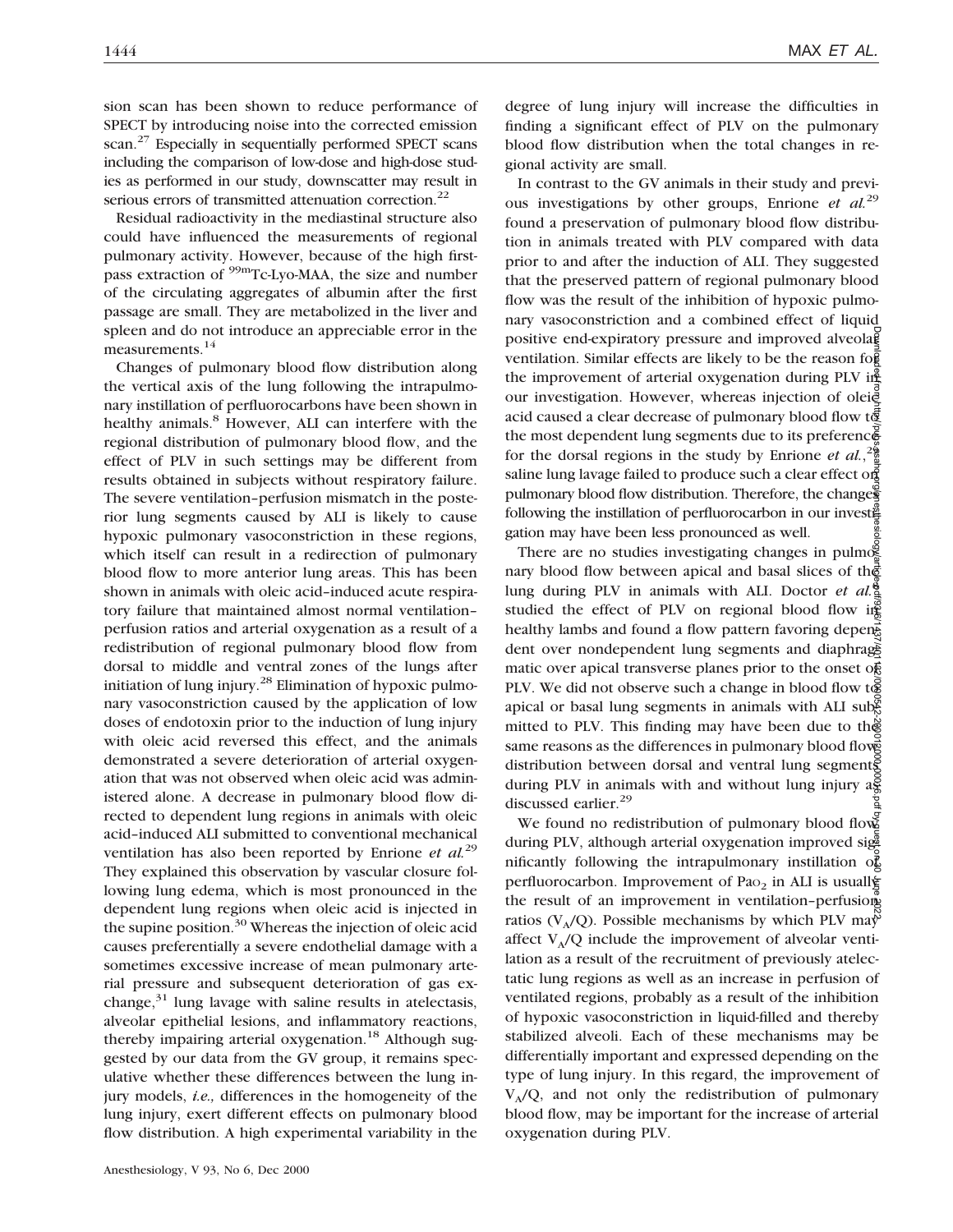sion scan has been shown to reduce performance of SPECT by introducing noise into the corrected emission scan.<sup>27</sup> Especially in sequentially performed SPECT scans including the comparison of low-dose and high-dose studies as performed in our study, downscatter may result in serious errors of transmitted attenuation correction.<sup>22</sup>

Residual radioactivity in the mediastinal structure also could have influenced the measurements of regional pulmonary activity. However, because of the high firstpass extraction of <sup>99m</sup>Tc-Lyo-MAA, the size and number of the circulating aggregates of albumin after the first passage are small. They are metabolized in the liver and spleen and do not introduce an appreciable error in the measurements.<sup>14</sup>

Changes of pulmonary blood flow distribution along the vertical axis of the lung following the intrapulmonary instillation of perfluorocarbons have been shown in healthy animals.<sup>8</sup> However, ALI can interfere with the regional distribution of pulmonary blood flow, and the effect of PLV in such settings may be different from results obtained in subjects without respiratory failure. The severe ventilation–perfusion mismatch in the posterior lung segments caused by ALI is likely to cause hypoxic pulmonary vasoconstriction in these regions, which itself can result in a redirection of pulmonary blood flow to more anterior lung areas. This has been shown in animals with oleic acid–induced acute respiratory failure that maintained almost normal ventilation– perfusion ratios and arterial oxygenation as a result of a redistribution of regional pulmonary blood flow from dorsal to middle and ventral zones of the lungs after initiation of lung injury. $^{28}$  Elimination of hypoxic pulmonary vasoconstriction caused by the application of low doses of endotoxin prior to the induction of lung injury with oleic acid reversed this effect, and the animals demonstrated a severe deterioration of arterial oxygenation that was not observed when oleic acid was administered alone. A decrease in pulmonary blood flow directed to dependent lung regions in animals with oleic acid–induced ALI submitted to conventional mechanical ventilation has also been reported by Enrione *et al.*<sup>29</sup> They explained this observation by vascular closure following lung edema, which is most pronounced in the dependent lung regions when oleic acid is injected in the supine position.<sup>30</sup> Whereas the injection of oleic acid causes preferentially a severe endothelial damage with a sometimes excessive increase of mean pulmonary arterial pressure and subsequent deterioration of gas exchange, $31$  lung lavage with saline results in atelectasis, alveolar epithelial lesions, and inflammatory reactions, thereby impairing arterial oxygenation.<sup>18</sup> Although suggested by our data from the GV group, it remains speculative whether these differences between the lung injury models, *i.e.,* differences in the homogeneity of the lung injury, exert different effects on pulmonary blood flow distribution. A high experimental variability in the

degree of lung injury will increase the difficulties in finding a significant effect of PLV on the pulmonary blood flow distribution when the total changes in regional activity are small.

In contrast to the GV animals in their study and previous investigations by other groups, Enrione *et al.*<sup>29</sup> found a preservation of pulmonary blood flow distribution in animals treated with PLV compared with data prior to and after the induction of ALI. They suggested that the preserved pattern of regional pulmonary blood flow was the result of the inhibition of hypoxic pulmonary vasoconstriction and a combined effect of liquid positive end-expiratory pressure and improved alveolaged ventilation. Similar effects are likely to be the reason for  $\frac{1}{2}$ the improvement of arterial oxygenation during PLV in $\frac{d}{dx}$ our investigation. However, whereas injection of oleie acid caused a clear decrease of pulmonary blood flow  $t\bar{g}$ the most dependent lung segments due to its preference for the dorsal regions in the study by Enrione *et al.*,  $2\frac{9}{8}$ saline lung lavage failed to produce such a clear effect on pulmonary blood flow distribution. Therefore, the changes following the instillation of perfluorocarbon in our invested gation may have been less pronounced as well.

There are no studies investigating changes in pulmog nary blood flow between apical and basal slices of the lung during PLV in animals with ALI. Doctor *et al.*<sup>8</sup> studied the effect of PLV on regional blood flow in healthy lambs and found a flow pattern favoring dependent dent over nondependent lung segments and diaphraged matic over apical transverse planes prior to the onset of PLV. We did not observe such a change in blood flow to apical or basal lung segments in animals with ALI submitted to PLV. This finding may have been due to the same reasons as the differences in pulmonary blood flows distribution between dorsal and ventral lung segments during PLV in animals with and without lung injury  $a_{\overline{x}}$ discussed earlier.<sup>29</sup> Downloaded from http://pubs.asahq.org/anesthesiology/article-pdf/93/6/1437/401132/0000542-200012000-00016.pdf by guest on 30 June 2022

We found no redistribution of pulmonary blood flow during PLV, although arterial oxygenation improved significantly following the intrapulmonary instillation of perfluorocarbon. Improvement of Pa $\circ$  in ALI is usuall the result of an improvement in ventilation-perfusions ratios (V<sub>A</sub>/Q). Possible mechanisms by which PLV may affect  $V_A/Q$  include the improvement of alveolar ventilation as a result of the recruitment of previously atelectatic lung regions as well as an increase in perfusion of ventilated regions, probably as a result of the inhibition of hypoxic vasoconstriction in liquid-filled and thereby stabilized alveoli. Each of these mechanisms may be differentially important and expressed depending on the type of lung injury. In this regard, the improvement of  $V_A/Q$ , and not only the redistribution of pulmonary blood flow, may be important for the increase of arterial oxygenation during PLV.